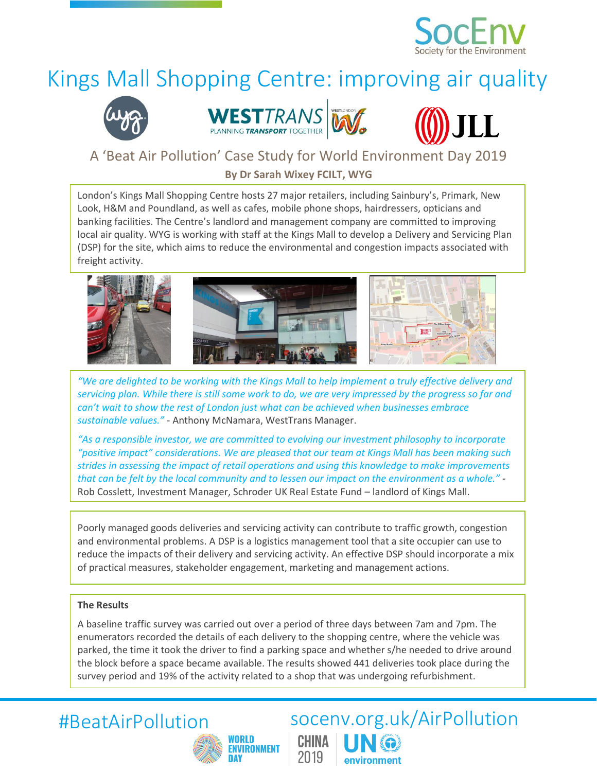

# Kings Mall Shopping Centre: improving air quality







## A 'Beat Air Pollution' Case Study for World Environment Day 2019

**By Dr Sarah Wixey FCILT, WYG**

London's Kings Mall Shopping Centre hosts 27 major retailers, including Sainbury's, Primark, New Look, H&M and Poundland, as well as cafes, mobile phone shops, hairdressers, opticians and banking facilities. The Centre's landlord and management company are committed to improving local air quality. WYG is working with staff at the Kings Mall to develop a Delivery and Servicing Plan (DSP) for the site, which aims to reduce the environmental and congestion impacts associated with freight activity.



*"We are delighted to be working with the Kings Mall to help implement a truly effective delivery and servicing plan. While there is still some work to do, we are very impressed by the progress so far and can't wait to show the rest of London just what can be achieved when businesses embrace sustainable values."* - Anthony McNamara, WestTrans Manager.

*"As a responsible investor, we are committed to evolving our investment philosophy to incorporate "positive impact" considerations. We are pleased that our team at Kings Mall has been making such strides in assessing the impact of retail operations and using this knowledge to make improvements that can be felt by the local community and to lessen our impact on the environment as a whole."* - Rob Cosslett, Investment Manager, Schroder UK Real Estate Fund – landlord of Kings Mall.

Poorly managed goods deliveries and servicing activity can contribute to traffic growth, congestion and environmental problems. A DSP is a logistics management tool that a site occupier can use to reduce the impacts of their delivery and servicing activity. An effective DSP should incorporate a mix of practical measures, stakeholder engagement, marketing and management actions.

### **The Results**

A baseline traffic survey was carried out over a period of three days between 7am and 7pm. The enumerators recorded the details of each delivery to the shopping centre, where the vehicle was parked, the time it took the driver to find a parking space and whether s/he needed to drive around the block before a space became available. The results showed 441 deliveries took place during the survey period and 19% of the activity related to a shop that was undergoing refurbishment.

CHINA

2019

environment